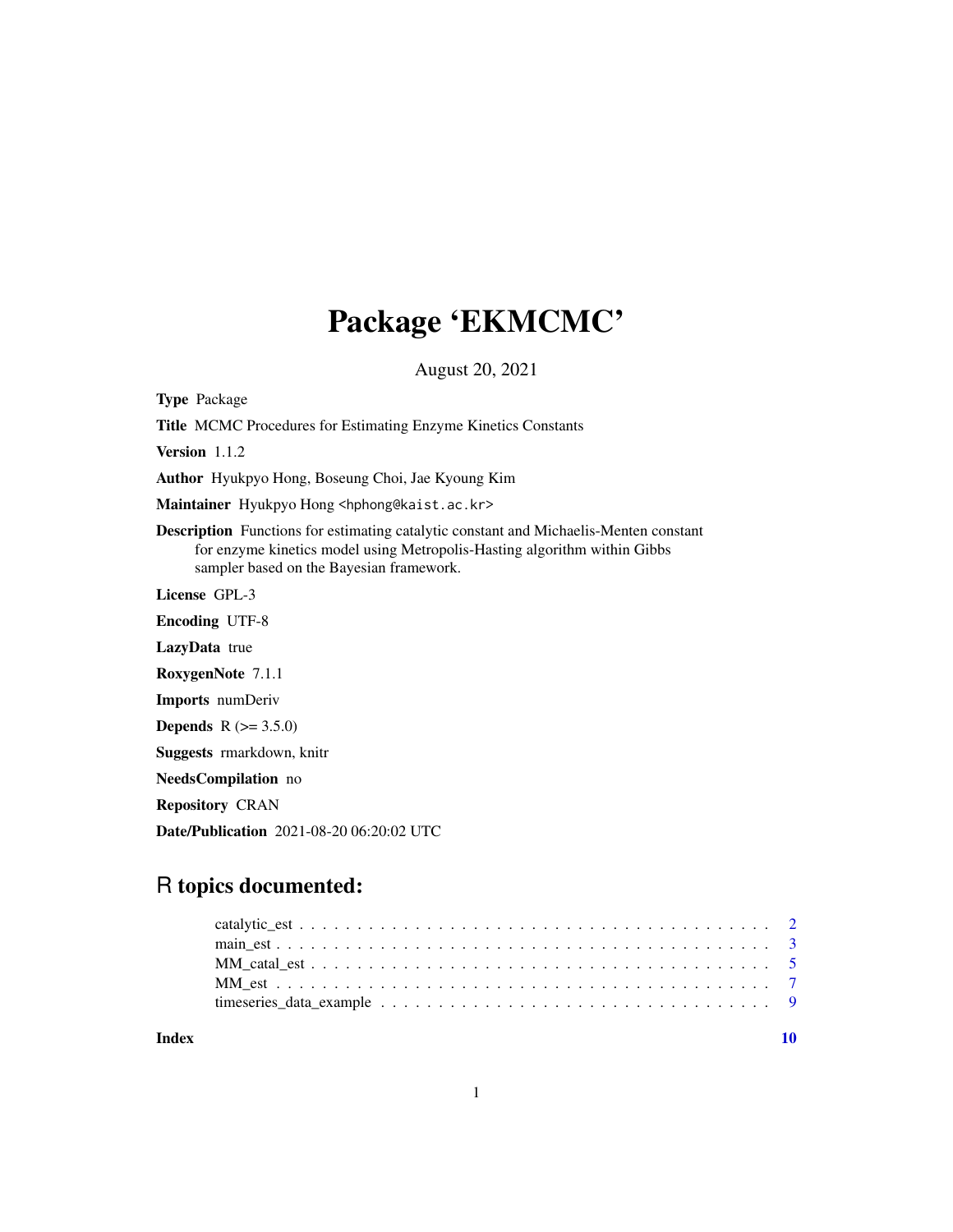# Package 'EKMCMC'

August 20, 2021

Type Package

Title MCMC Procedures for Estimating Enzyme Kinetics Constants

Version 1.1.2

Author Hyukpyo Hong, Boseung Choi, Jae Kyoung Kim

Maintainer Hyukpyo Hong <hphong@kaist.ac.kr>

Description Functions for estimating catalytic constant and Michaelis-Menten constant for enzyme kinetics model using Metropolis-Hasting algorithm within Gibbs sampler based on the Bayesian framework.

License GPL-3

Encoding UTF-8

LazyData true

RoxygenNote 7.1.1

Imports numDeriv

**Depends**  $R (= 3.5.0)$ 

Suggests rmarkdown, knitr

NeedsCompilation no

Repository CRAN

Date/Publication 2021-08-20 06:20:02 UTC

# R topics documented:

 $\blacksquare$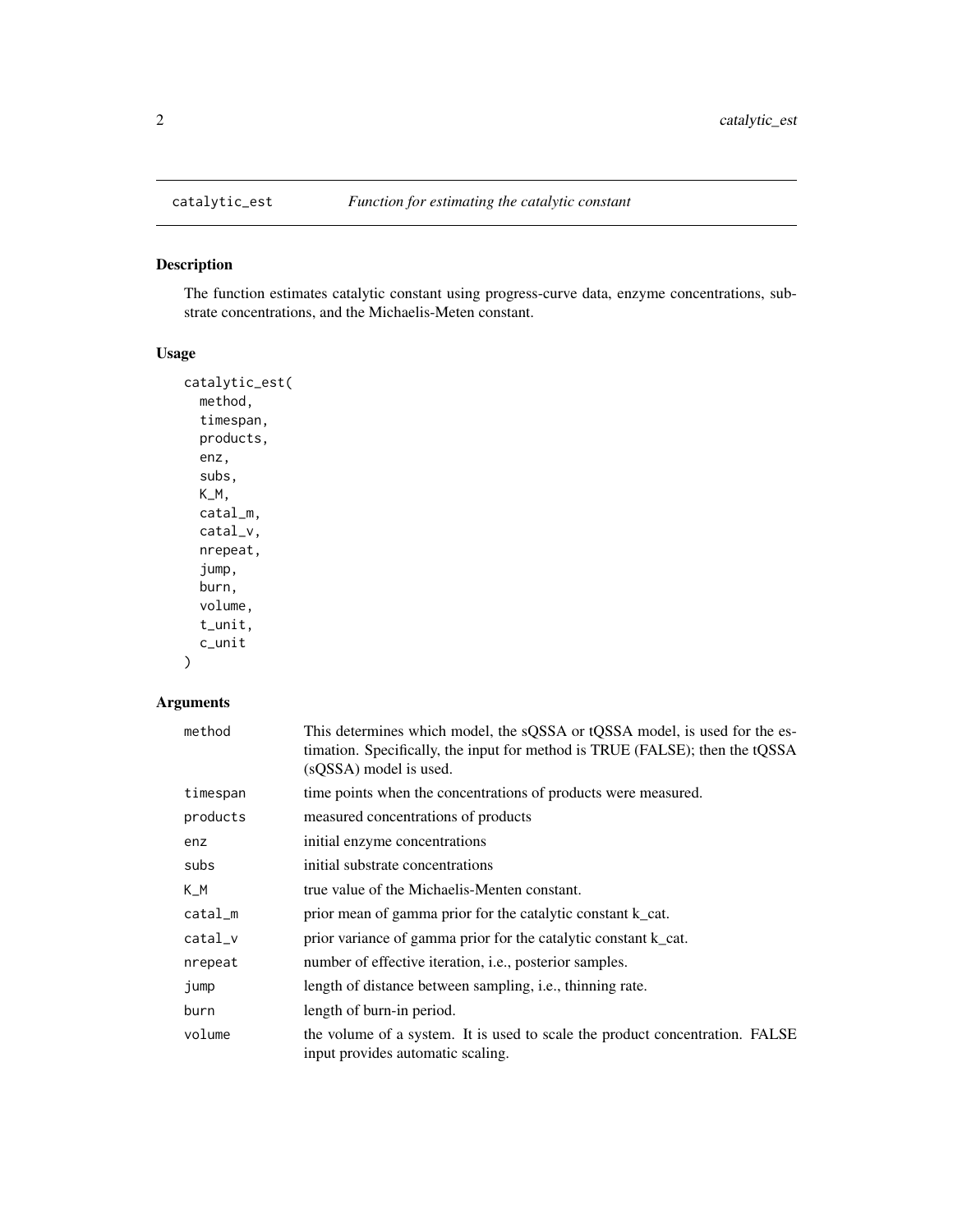# Description

The function estimates catalytic constant using progress-curve data, enzyme concentrations, substrate concentrations, and the Michaelis-Meten constant.

# Usage

```
catalytic_est(
 method,
  timespan,
 products,
 enz,
  subs,
 K_M,
 catal_m,
  catal_v,
 nrepeat,
  jump,
  burn,
  volume,
  t_unit,
  c_unit
```

```
)
```
# Arguments

| method    | This determines which model, the sQSSA or tQSSA model, is used for the es-<br>timation. Specifically, the input for method is TRUE (FALSE); then the tQSSA<br>(sQSSA) model is used. |
|-----------|--------------------------------------------------------------------------------------------------------------------------------------------------------------------------------------|
| timespan  | time points when the concentrations of products were measured.                                                                                                                       |
| products  | measured concentrations of products                                                                                                                                                  |
| enz       | initial enzyme concentrations                                                                                                                                                        |
| subs      | initial substrate concentrations                                                                                                                                                     |
| $K_M$     | true value of the Michaelis-Menten constant.                                                                                                                                         |
| $catal_m$ | prior mean of gamma prior for the catalytic constant k_cat.                                                                                                                          |
| $catal_v$ | prior variance of gamma prior for the catalytic constant k_cat.                                                                                                                      |
| nrepeat   | number of effective iteration, <i>i.e.</i> , posterior samples.                                                                                                                      |
| jump      | length of distance between sampling, <i>i.e.</i> , thinning rate.                                                                                                                    |
| burn      | length of burn-in period.                                                                                                                                                            |
| volume    | the volume of a system. It is used to scale the product concentration. FALSE<br>input provides automatic scaling.                                                                    |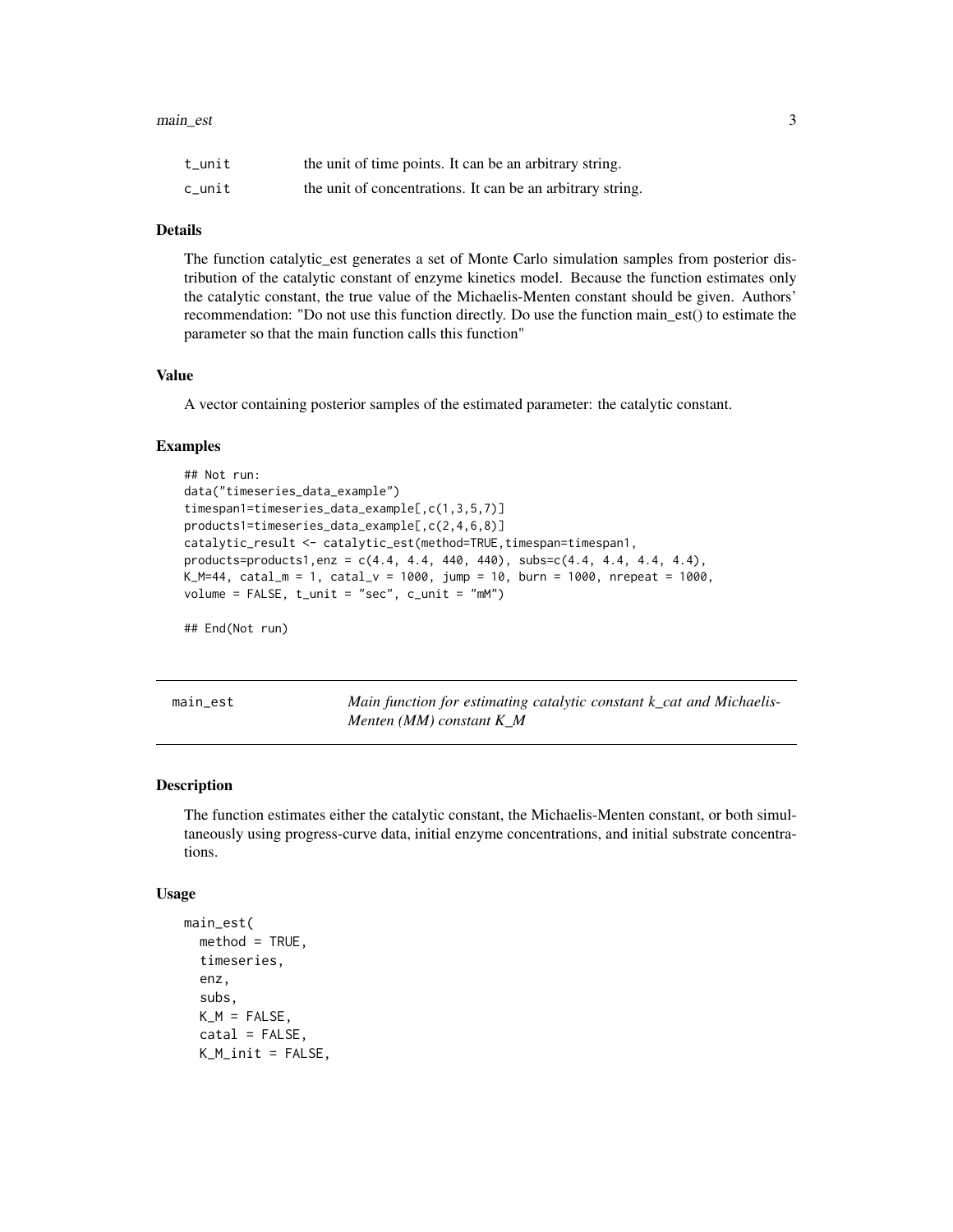### <span id="page-2-0"></span>main\_est 3

| t_unit | the unit of time points. It can be an arbitrary string.    |
|--------|------------------------------------------------------------|
| c_unit | the unit of concentrations. It can be an arbitrary string. |

# Details

The function catalytic\_est generates a set of Monte Carlo simulation samples from posterior distribution of the catalytic constant of enzyme kinetics model. Because the function estimates only the catalytic constant, the true value of the Michaelis-Menten constant should be given. Authors' recommendation: "Do not use this function directly. Do use the function main\_est() to estimate the parameter so that the main function calls this function"

# Value

A vector containing posterior samples of the estimated parameter: the catalytic constant.

## Examples

```
## Not run:
data("timeseries_data_example")
timespan1=timeseries_data_example[,c(1,3,5,7)]
products1=timeseries_data_example[,c(2,4,6,8)]
catalytic_result <- catalytic_est(method=TRUE, timespan=timespan1,
products=products1,enz = c(4.4, 4.4, 440, 440), subs=c(4.4, 4.4, 4.4, 4.4),
K_M=44, catal_m = 1, catal_v = 1000, jump = 10, burn = 1000, nrepeat = 1000,
volume = FALSE, t\_unit = "sec", c\_unit = "mM")
```
## End(Not run)

main\_est *Main function for estimating catalytic constant k\_cat and Michaelis-Menten (MM) constant K\_M*

## Description

The function estimates either the catalytic constant, the Michaelis-Menten constant, or both simultaneously using progress-curve data, initial enzyme concentrations, and initial substrate concentrations.

#### Usage

```
main_est(
  method = TRUE,timeseries,
  enz,
  subs,
  K_M = FALSE,\text{catal} = \text{FALSE},
  K_M_init = FALSE,
```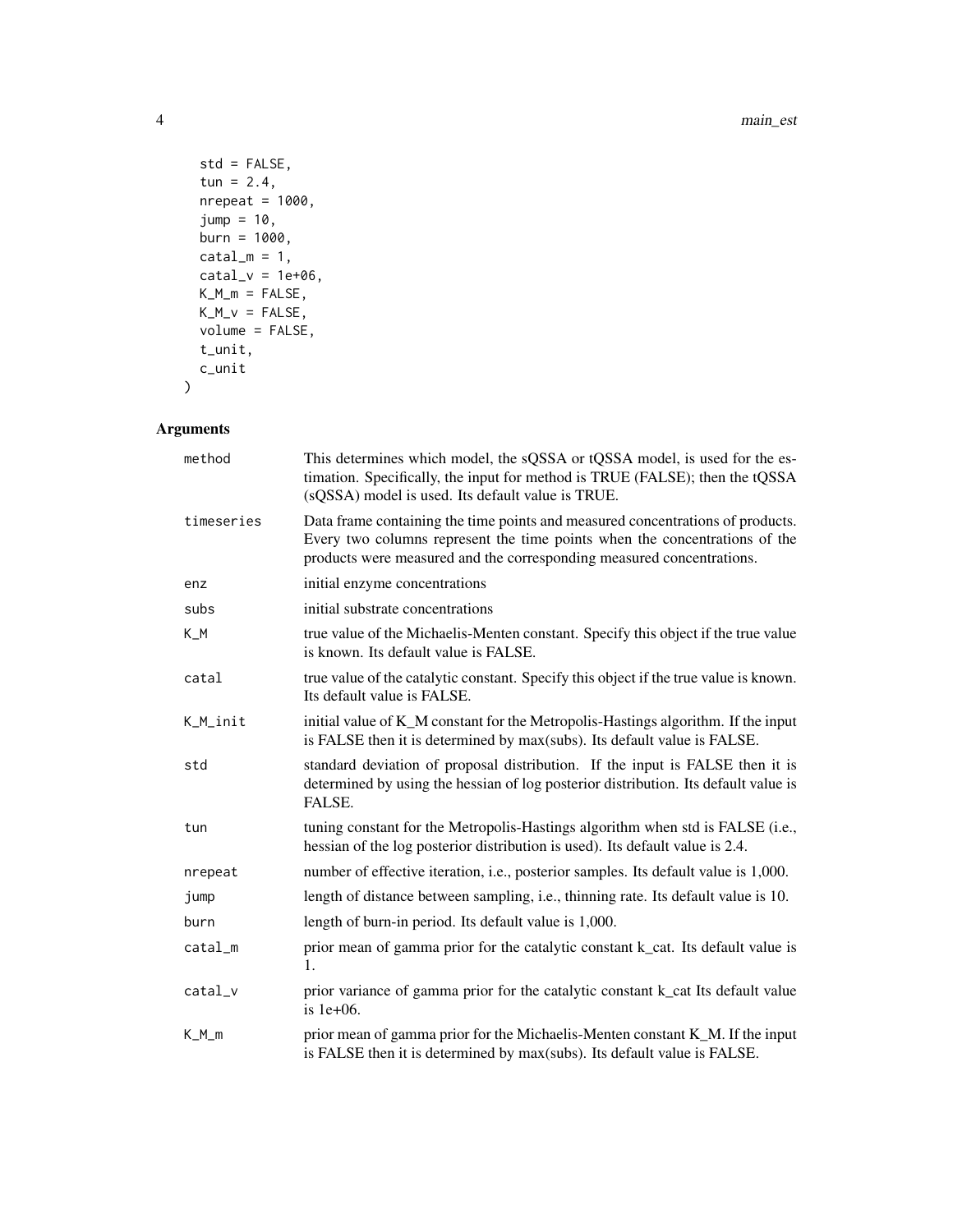4 main\_est n and  $\frac{1}{2}$  main\_est n and  $\frac{1}{2}$  main\_est n and  $\frac{1}{2}$  main\_est n and  $\frac{1}{2}$  main\_est n and  $\frac{1}{2}$  main\_est n and  $\frac{1}{2}$  main\_est n and  $\frac{1}{2}$  main\_est n and  $\frac{1}{2}$  main\_est n and  $\frac{1$ 

```
std = FALSE,tun = 2.4,nrepeat = 1000,
  jump = 10,burn = 1000,catal_m = 1,
 \text{catal}_v = 1e+06,
 K_M_m = FALSE,K_M_v = FALSE,volume = FALSE,
  t_unit,
 c_unit
\mathcal{L}
```
# Arguments

| method     | This determines which model, the sQSSA or tQSSA model, is used for the es-<br>timation. Specifically, the input for method is TRUE (FALSE); then the tQSSA<br>(sQSSA) model is used. Its default value is TRUE.                       |
|------------|---------------------------------------------------------------------------------------------------------------------------------------------------------------------------------------------------------------------------------------|
| timeseries | Data frame containing the time points and measured concentrations of products.<br>Every two columns represent the time points when the concentrations of the<br>products were measured and the corresponding measured concentrations. |
| enz        | initial enzyme concentrations                                                                                                                                                                                                         |
| subs       | initial substrate concentrations                                                                                                                                                                                                      |
| $K_M$      | true value of the Michaelis-Menten constant. Specify this object if the true value<br>is known. Its default value is FALSE.                                                                                                           |
| catal      | true value of the catalytic constant. Specify this object if the true value is known.<br>Its default value is FALSE.                                                                                                                  |
| K_M_init   | initial value of K_M constant for the Metropolis-Hastings algorithm. If the input<br>is FALSE then it is determined by max(subs). Its default value is FALSE.                                                                         |
| std        | standard deviation of proposal distribution. If the input is FALSE then it is<br>determined by using the hessian of log posterior distribution. Its default value is<br>FALSE.                                                        |
| tun        | tuning constant for the Metropolis-Hastings algorithm when std is FALSE (i.e.,<br>hessian of the log posterior distribution is used). Its default value is 2.4.                                                                       |
| nrepeat    | number of effective iteration, i.e., posterior samples. Its default value is 1,000.                                                                                                                                                   |
| jump       | length of distance between sampling, <i>i.e.</i> , thinning rate. Its default value is 10.                                                                                                                                            |
| burn       | length of burn-in period. Its default value is 1,000.                                                                                                                                                                                 |
| catal_m    | prior mean of gamma prior for the catalytic constant k_cat. Its default value is<br>1.                                                                                                                                                |
| catal_v    | prior variance of gamma prior for the catalytic constant k_cat Its default value<br>is $1e+06$ .                                                                                                                                      |
| $K_M_m$    | prior mean of gamma prior for the Michaelis-Menten constant K_M. If the input<br>is FALSE then it is determined by max(subs). Its default value is FALSE.                                                                             |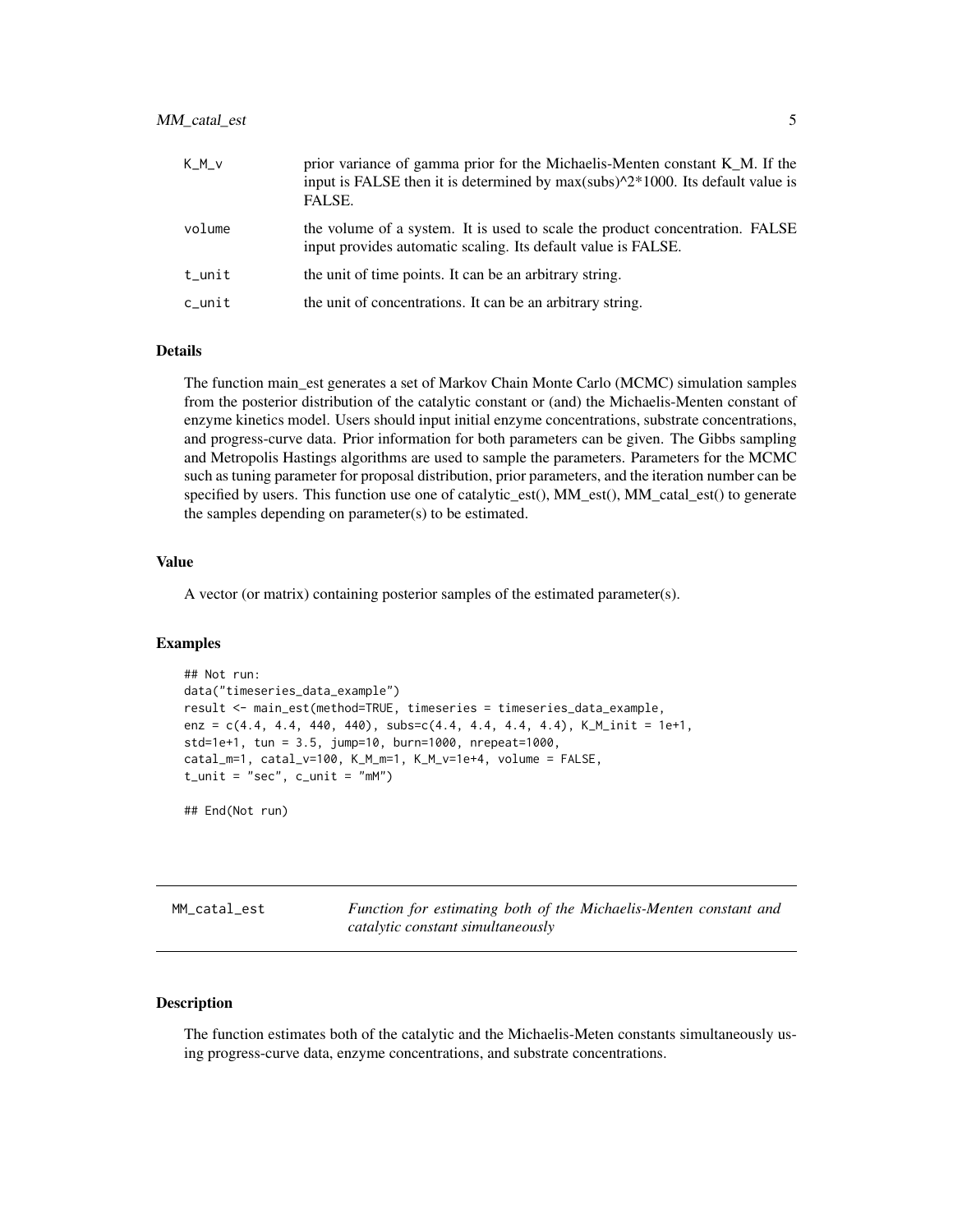# <span id="page-4-0"></span>MM\_catal\_est 5

| $K_M_v$   | prior variance of gamma prior for the Michaelis-Menten constant K M. If the<br>input is FALSE then it is determined by $max(subs)^2*1000$ . Its default value is<br>FALSE. |
|-----------|----------------------------------------------------------------------------------------------------------------------------------------------------------------------------|
| volume    | the volume of a system. It is used to scale the product concentration. FALSE<br>input provides automatic scaling. Its default value is FALSE.                              |
| $t_$ unit | the unit of time points. It can be an arbitrary string.                                                                                                                    |
| $c$ _unit | the unit of concentrations. It can be an arbitrary string.                                                                                                                 |

## Details

The function main\_est generates a set of Markov Chain Monte Carlo (MCMC) simulation samples from the posterior distribution of the catalytic constant or (and) the Michaelis-Menten constant of enzyme kinetics model. Users should input initial enzyme concentrations, substrate concentrations, and progress-curve data. Prior information for both parameters can be given. The Gibbs sampling and Metropolis Hastings algorithms are used to sample the parameters. Parameters for the MCMC such as tuning parameter for proposal distribution, prior parameters, and the iteration number can be specified by users. This function use one of catalytic\_est(), MM\_est(), MM\_catal\_est() to generate the samples depending on parameter(s) to be estimated.

### Value

A vector (or matrix) containing posterior samples of the estimated parameter(s).

### Examples

```
## Not run:
data("timeseries_data_example")
result <- main_est(method=TRUE, timeseries = timeseries_data_example,
enz = c(4.4, 4.4, 440, 440), subs=c(4.4, 4.4, 4.4, 4.4), K_M_init = 1e+1,
std=1e+1, tun = 3.5, jump=10, burn=1000, nrepeat=1000,
catal_m=1, catal_v=100, K_M_m=1, K_M_v=1e+4, volume = FALSE,
t<sub>-</sub>unit = "sec", c<sub>-</sub>unit = "mM")
```
## End(Not run)

MM\_catal\_est *Function for estimating both of the Michaelis-Menten constant and catalytic constant simultaneously*

# **Description**

The function estimates both of the catalytic and the Michaelis-Meten constants simultaneously using progress-curve data, enzyme concentrations, and substrate concentrations.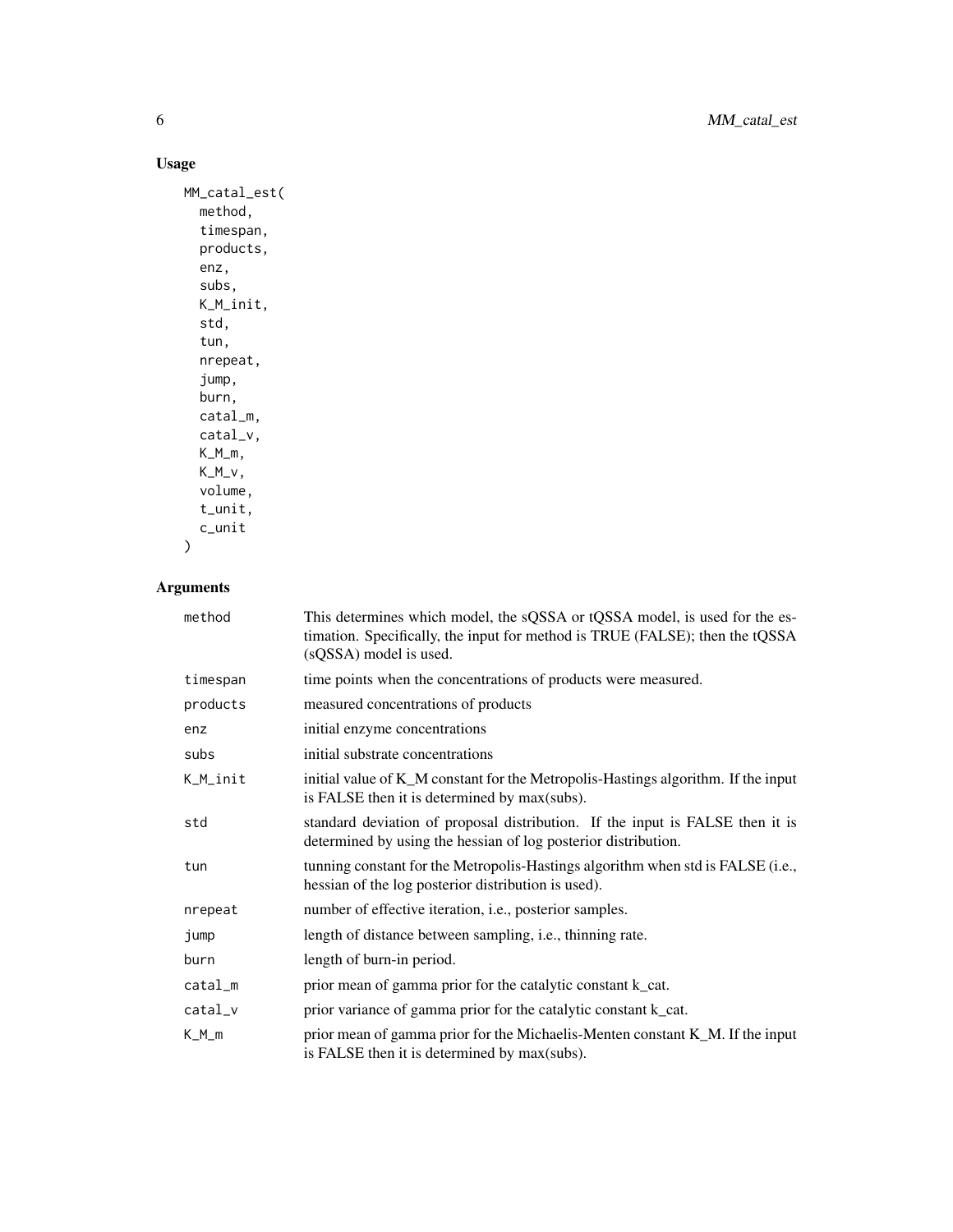# Usage

```
MM_catal_est(
  method,
  timespan,
  products,
  enz,
  subs,
  K_M_init,
  std,
  tun,
  nrepeat,
  jump,
  burn,
  catal_m,
  catal_v,
  K_M_m,
  K_M_vvolume,
  t_unit,
  c_unit
\mathcal{L}
```
# Arguments

| method    | This determines which model, the sQSSA or tQSSA model, is used for the es-<br>timation. Specifically, the input for method is TRUE (FALSE); then the tQSSA<br>(sQSSA) model is used. |
|-----------|--------------------------------------------------------------------------------------------------------------------------------------------------------------------------------------|
| timespan  | time points when the concentrations of products were measured.                                                                                                                       |
| products  | measured concentrations of products                                                                                                                                                  |
| enz       | initial enzyme concentrations                                                                                                                                                        |
| subs      | initial substrate concentrations                                                                                                                                                     |
| K_M_init  | initial value of $K_M$ constant for the Metropolis-Hastings algorithm. If the input<br>is FALSE then it is determined by max(subs).                                                  |
| std       | standard deviation of proposal distribution. If the input is FALSE then it is<br>determined by using the hessian of log posterior distribution.                                      |
| tun       | tunning constant for the Metropolis-Hastings algorithm when std is FALSE (i.e.,<br>hessian of the log posterior distribution is used).                                               |
| nrepeat   | number of effective iteration, i.e., posterior samples.                                                                                                                              |
| jump      | length of distance between sampling, <i>i.e.</i> , thinning rate.                                                                                                                    |
| burn      | length of burn-in period.                                                                                                                                                            |
| catal_m   | prior mean of gamma prior for the catalytic constant k_cat.                                                                                                                          |
| $catal_v$ | prior variance of gamma prior for the catalytic constant k_cat.                                                                                                                      |
| $K_M_m$   | prior mean of gamma prior for the Michaelis-Menten constant K_M. If the input<br>is FALSE then it is determined by max(subs).                                                        |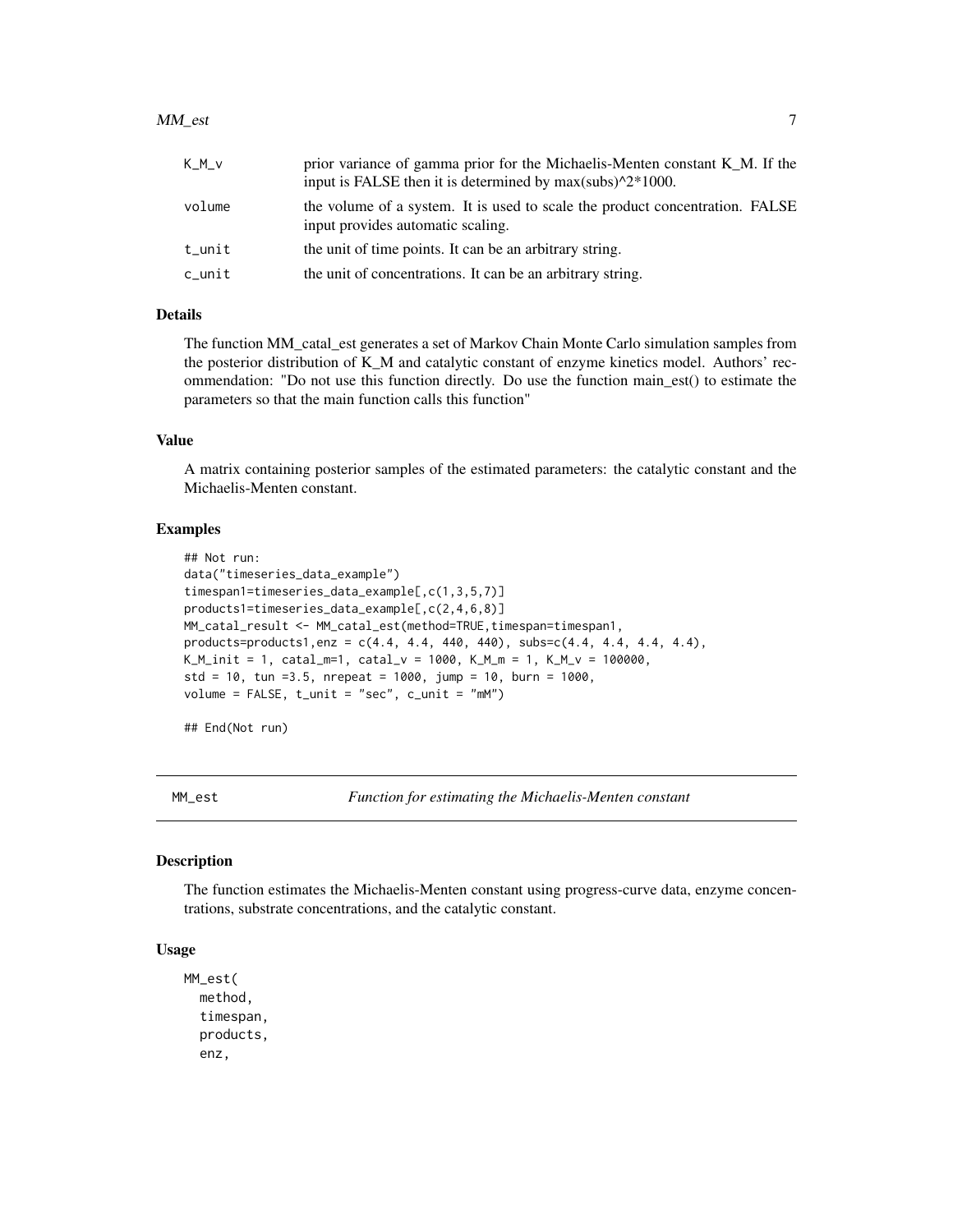### <span id="page-6-0"></span>MM\_est 7

| K_M_v     | prior variance of gamma prior for the Michaelis-Menten constant K_M. If the<br>input is FALSE then it is determined by $max(subs)^2*1000$ . |
|-----------|---------------------------------------------------------------------------------------------------------------------------------------------|
| volume    | the volume of a system. It is used to scale the product concentration. FALSE<br>input provides automatic scaling.                           |
| $t$ _unit | the unit of time points. It can be an arbitrary string.                                                                                     |
| c_unit    | the unit of concentrations. It can be an arbitrary string.                                                                                  |

### Details

The function MM\_catal\_est generates a set of Markov Chain Monte Carlo simulation samples from the posterior distribution of K\_M and catalytic constant of enzyme kinetics model. Authors' recommendation: "Do not use this function directly. Do use the function main\_est() to estimate the parameters so that the main function calls this function"

# Value

A matrix containing posterior samples of the estimated parameters: the catalytic constant and the Michaelis-Menten constant.

### Examples

```
## Not run:
data("timeseries_data_example")
timespan1=timeseries_data_example[,c(1,3,5,7)]
products1=timeseries_data_example[,c(2,4,6,8)]
MM_catal_result <- MM_catal_est(method=TRUE,timespan=timespan1,
products=products1,enz = c(4.4, 4.4, 440, 440), subs=c(4.4, 4.4, 4.4, 4.4),
K_M_init = 1, catal_m=1, catal_v = 1000, K_M_m = 1, K_M_v = 100000,
std = 10, tun =3.5, nrepeat = 1000, jump = 10, burn = 1000,
volume = FALSE, t\_unit = "sec", c\_unit = "mM")
```
## End(Not run)

MM\_est *Function for estimating the Michaelis-Menten constant*

### Description

The function estimates the Michaelis-Menten constant using progress-curve data, enzyme concentrations, substrate concentrations, and the catalytic constant.

# Usage

```
MM_est(
  method,
  timespan,
  products,
  enz,
```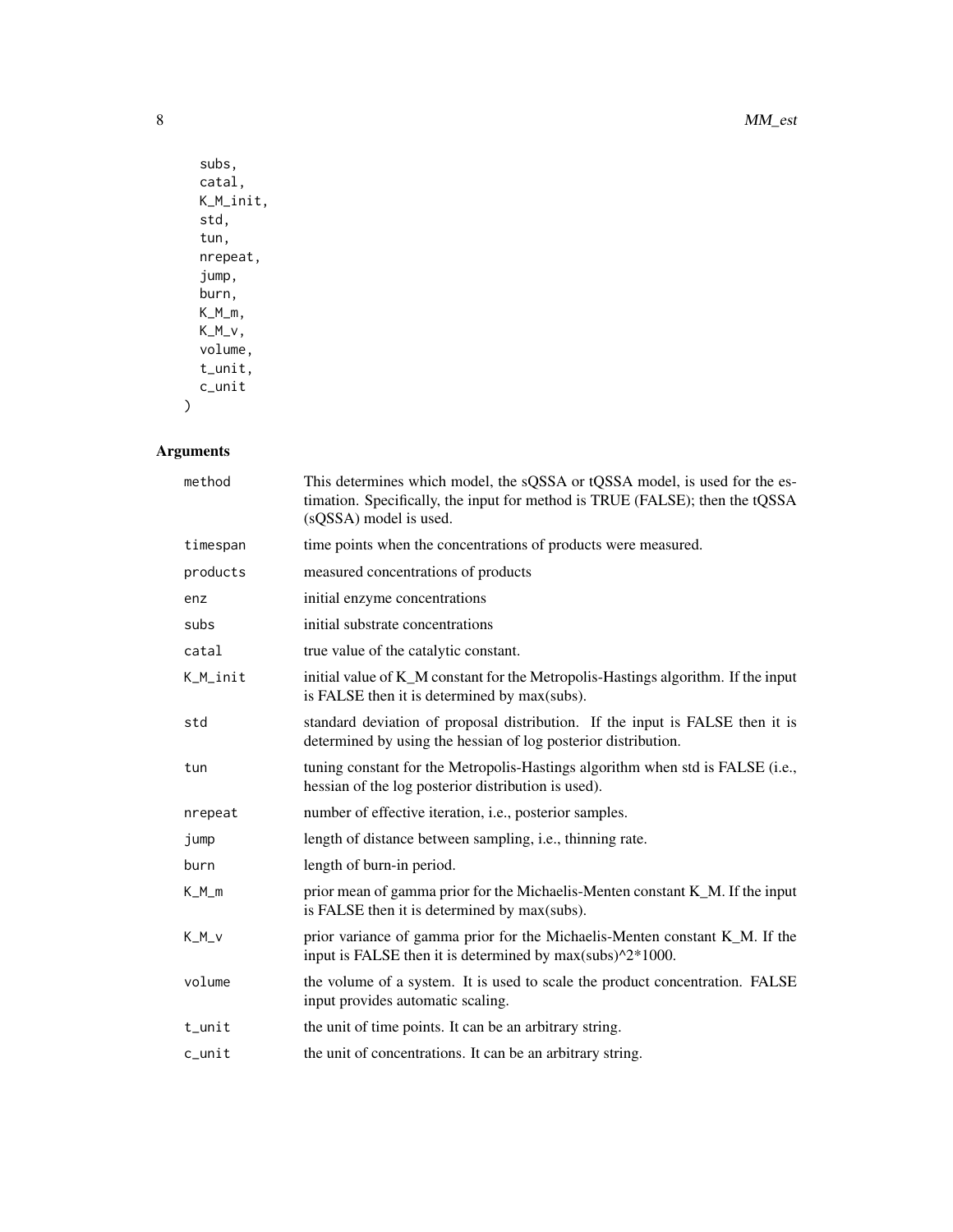```
subs,
catal,
K_M_init,
std,
tun,
nrepeat,
jump,
burn,
K_M_m,
K_M_v,
volume,
t_unit,
c_unit
```
# Arguments

 $\,$ 

| method    | This determines which model, the sQSSA or tQSSA model, is used for the es-<br>timation. Specifically, the input for method is TRUE (FALSE); then the tQSSA<br>(sQSSA) model is used. |
|-----------|--------------------------------------------------------------------------------------------------------------------------------------------------------------------------------------|
| timespan  | time points when the concentrations of products were measured.                                                                                                                       |
| products  | measured concentrations of products                                                                                                                                                  |
| enz       | initial enzyme concentrations                                                                                                                                                        |
| subs      | initial substrate concentrations                                                                                                                                                     |
| catal     | true value of the catalytic constant.                                                                                                                                                |
| K_M_init  | initial value of K_M constant for the Metropolis-Hastings algorithm. If the input<br>is FALSE then it is determined by max(subs).                                                    |
| std       | standard deviation of proposal distribution. If the input is FALSE then it is<br>determined by using the hessian of log posterior distribution.                                      |
| tun       | tuning constant for the Metropolis-Hastings algorithm when std is FALSE (i.e.,<br>hessian of the log posterior distribution is used).                                                |
| nrepeat   | number of effective iteration, i.e., posterior samples.                                                                                                                              |
| jump      | length of distance between sampling, <i>i.e.</i> , thinning rate.                                                                                                                    |
| burn      | length of burn-in period.                                                                                                                                                            |
| $K_M_m$   | prior mean of gamma prior for the Michaelis-Menten constant K_M. If the input<br>is FALSE then it is determined by max(subs).                                                        |
| $K_M_v$   | prior variance of gamma prior for the Michaelis-Menten constant K_M. If the<br>input is FALSE then it is determined by $max(subs)^2*1000$ .                                          |
| volume    | the volume of a system. It is used to scale the product concentration. FALSE<br>input provides automatic scaling.                                                                    |
| $t_$ unit | the unit of time points. It can be an arbitrary string.                                                                                                                              |
| $c$ _unit | the unit of concentrations. It can be an arbitrary string.                                                                                                                           |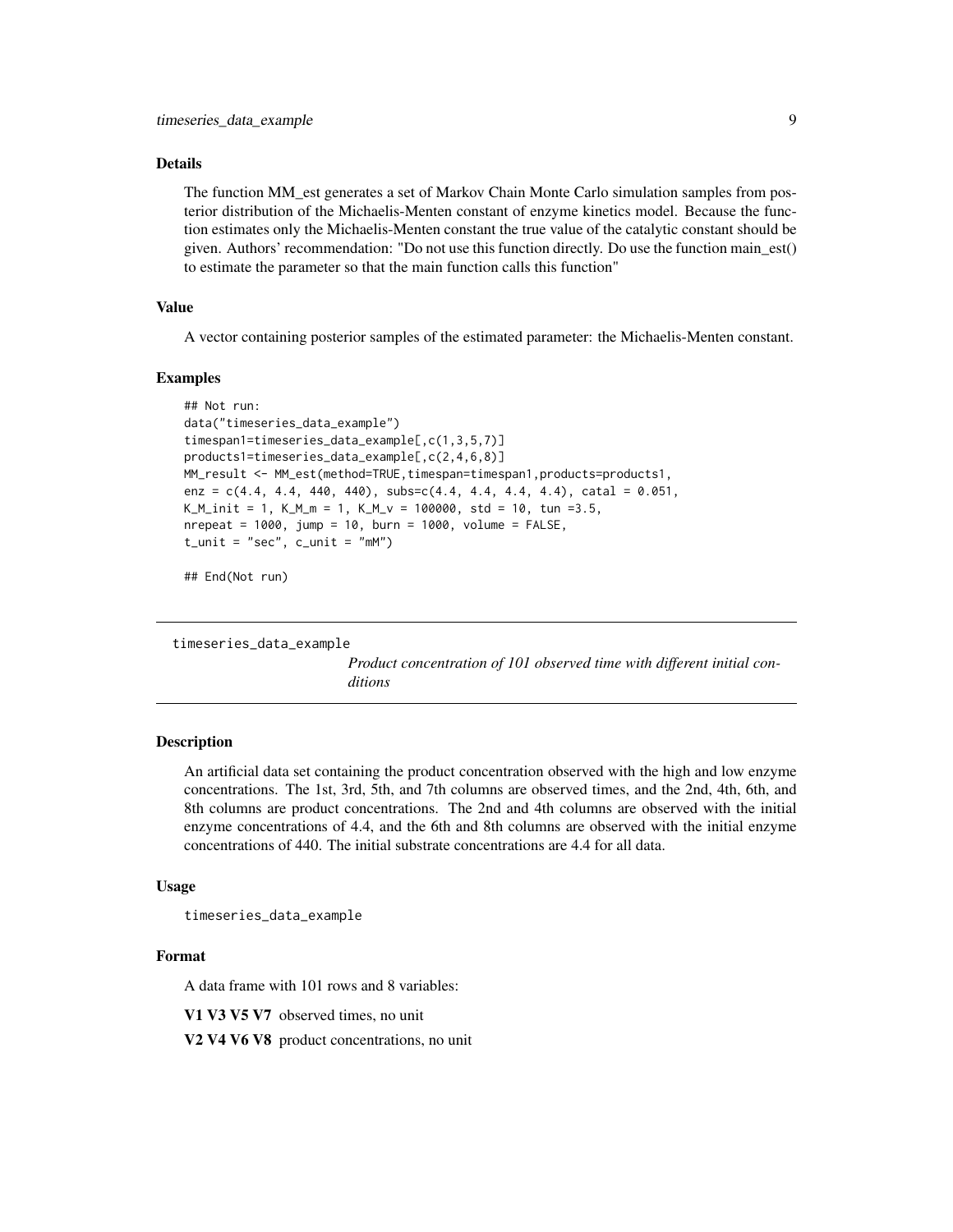### <span id="page-8-0"></span>Details

The function MM\_est generates a set of Markov Chain Monte Carlo simulation samples from posterior distribution of the Michaelis-Menten constant of enzyme kinetics model. Because the function estimates only the Michaelis-Menten constant the true value of the catalytic constant should be given. Authors' recommendation: "Do not use this function directly. Do use the function main\_est() to estimate the parameter so that the main function calls this function"

# Value

A vector containing posterior samples of the estimated parameter: the Michaelis-Menten constant.

### Examples

```
## Not run:
data("timeseries_data_example")
timespan1=timeseries_data_example[,c(1,3,5,7)]
products1=timeseries_data_example[,c(2,4,6,8)]
MM_result <- MM_est(method=TRUE, timespan=timespan1, products=products1,
enz = c(4.4, 4.4, 440, 440), subs=c(4.4, 4.4, 4.4, 4.4), catal = 0.051,
K_M_init = 1, K_M_m = 1, K_M_v = 100000, std = 10, tun =3.5,
nrepeat = 1000, jump = 10, burn = 1000, volume = FALSE,
t\_unit = "sec", c\_unit = "mM")
```
## End(Not run)

```
timeseries_data_example
```
*Product concentration of 101 observed time with different initial conditions*

### Description

An artificial data set containing the product concentration observed with the high and low enzyme concentrations. The 1st, 3rd, 5th, and 7th columns are observed times, and the 2nd, 4th, 6th, and 8th columns are product concentrations. The 2nd and 4th columns are observed with the initial enzyme concentrations of 4.4, and the 6th and 8th columns are observed with the initial enzyme concentrations of 440. The initial substrate concentrations are 4.4 for all data.

#### Usage

```
timeseries_data_example
```
## Format

A data frame with 101 rows and 8 variables:

V1 V3 V5 V7 observed times, no unit

V<sub>2</sub> V<sub>4</sub> V<sub>6</sub> V<sub>8</sub> product concentrations, no unit